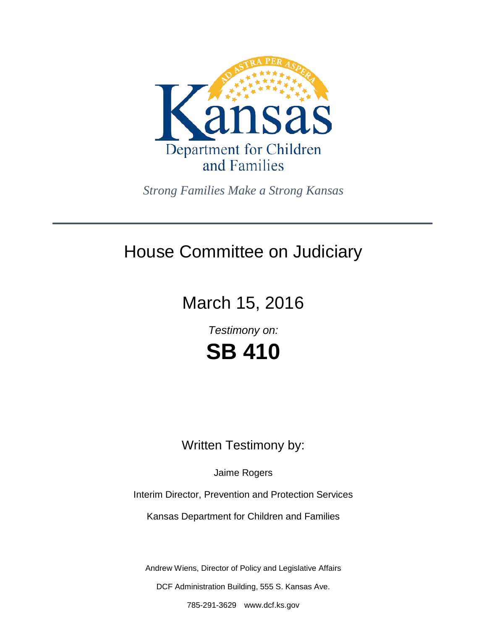

*Strong Families Make a Strong Kansas*

## House Committee on Judiciary

# March 15, 2016

*Testimony on:* **SB 410**

### Written Testimony by:

Jaime Rogers

Interim Director, Prevention and Protection Services

Kansas Department for Children and Families

Andrew Wiens, Director of Policy and Legislative Affairs

DCF Administration Building, 555 S. Kansas Ave.

785-291-3629 www.dcf.ks.gov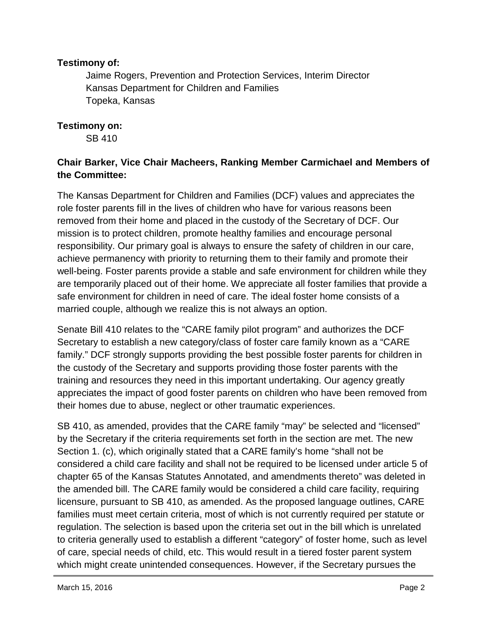#### **Testimony of:**

Jaime Rogers, Prevention and Protection Services, Interim Director Kansas Department for Children and Families Topeka, Kansas

#### **Testimony on:**

SB 410

### **Chair Barker, Vice Chair Macheers, Ranking Member Carmichael and Members of the Committee:**

The Kansas Department for Children and Families (DCF) values and appreciates the role foster parents fill in the lives of children who have for various reasons been removed from their home and placed in the custody of the Secretary of DCF. Our mission is to protect children, promote healthy families and encourage personal responsibility. Our primary goal is always to ensure the safety of children in our care, achieve permanency with priority to returning them to their family and promote their well-being. Foster parents provide a stable and safe environment for children while they are temporarily placed out of their home. We appreciate all foster families that provide a safe environment for children in need of care. The ideal foster home consists of a married couple, although we realize this is not always an option.

Senate Bill 410 relates to the "CARE family pilot program" and authorizes the DCF Secretary to establish a new category/class of foster care family known as a "CARE family." DCF strongly supports providing the best possible foster parents for children in the custody of the Secretary and supports providing those foster parents with the training and resources they need in this important undertaking. Our agency greatly appreciates the impact of good foster parents on children who have been removed from their homes due to abuse, neglect or other traumatic experiences.

SB 410, as amended, provides that the CARE family "may" be selected and "licensed" by the Secretary if the criteria requirements set forth in the section are met. The new Section 1. (c), which originally stated that a CARE family's home "shall not be considered a child care facility and shall not be required to be licensed under article 5 of chapter 65 of the Kansas Statutes Annotated, and amendments thereto" was deleted in the amended bill. The CARE family would be considered a child care facility, requiring licensure, pursuant to SB 410, as amended. As the proposed language outlines, CARE families must meet certain criteria, most of which is not currently required per statute or regulation. The selection is based upon the criteria set out in the bill which is unrelated to criteria generally used to establish a different "category" of foster home, such as level of care, special needs of child, etc. This would result in a tiered foster parent system which might create unintended consequences. However, if the Secretary pursues the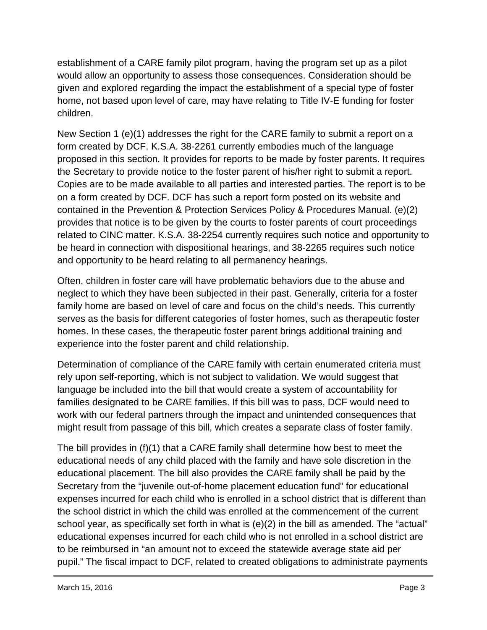establishment of a CARE family pilot program, having the program set up as a pilot would allow an opportunity to assess those consequences. Consideration should be given and explored regarding the impact the establishment of a special type of foster home, not based upon level of care, may have relating to Title IV-E funding for foster children.

New Section 1 (e)(1) addresses the right for the CARE family to submit a report on a form created by DCF. K.S.A. 38-2261 currently embodies much of the language proposed in this section. It provides for reports to be made by foster parents. It requires the Secretary to provide notice to the foster parent of his/her right to submit a report. Copies are to be made available to all parties and interested parties. The report is to be on a form created by DCF. DCF has such a report form posted on its website and contained in the Prevention & Protection Services Policy & Procedures Manual. (e)(2) provides that notice is to be given by the courts to foster parents of court proceedings related to CINC matter. K.S.A. 38-2254 currently requires such notice and opportunity to be heard in connection with dispositional hearings, and 38-2265 requires such notice and opportunity to be heard relating to all permanency hearings.

Often, children in foster care will have problematic behaviors due to the abuse and neglect to which they have been subjected in their past. Generally, criteria for a foster family home are based on level of care and focus on the child's needs. This currently serves as the basis for different categories of foster homes, such as therapeutic foster homes. In these cases, the therapeutic foster parent brings additional training and experience into the foster parent and child relationship.

Determination of compliance of the CARE family with certain enumerated criteria must rely upon self-reporting, which is not subject to validation. We would suggest that language be included into the bill that would create a system of accountability for families designated to be CARE families. If this bill was to pass, DCF would need to work with our federal partners through the impact and unintended consequences that might result from passage of this bill, which creates a separate class of foster family.

The bill provides in (f)(1) that a CARE family shall determine how best to meet the educational needs of any child placed with the family and have sole discretion in the educational placement. The bill also provides the CARE family shall be paid by the Secretary from the "juvenile out-of-home placement education fund" for educational expenses incurred for each child who is enrolled in a school district that is different than the school district in which the child was enrolled at the commencement of the current school year, as specifically set forth in what is (e)(2) in the bill as amended. The "actual" educational expenses incurred for each child who is not enrolled in a school district are to be reimbursed in "an amount not to exceed the statewide average state aid per pupil." The fiscal impact to DCF, related to created obligations to administrate payments